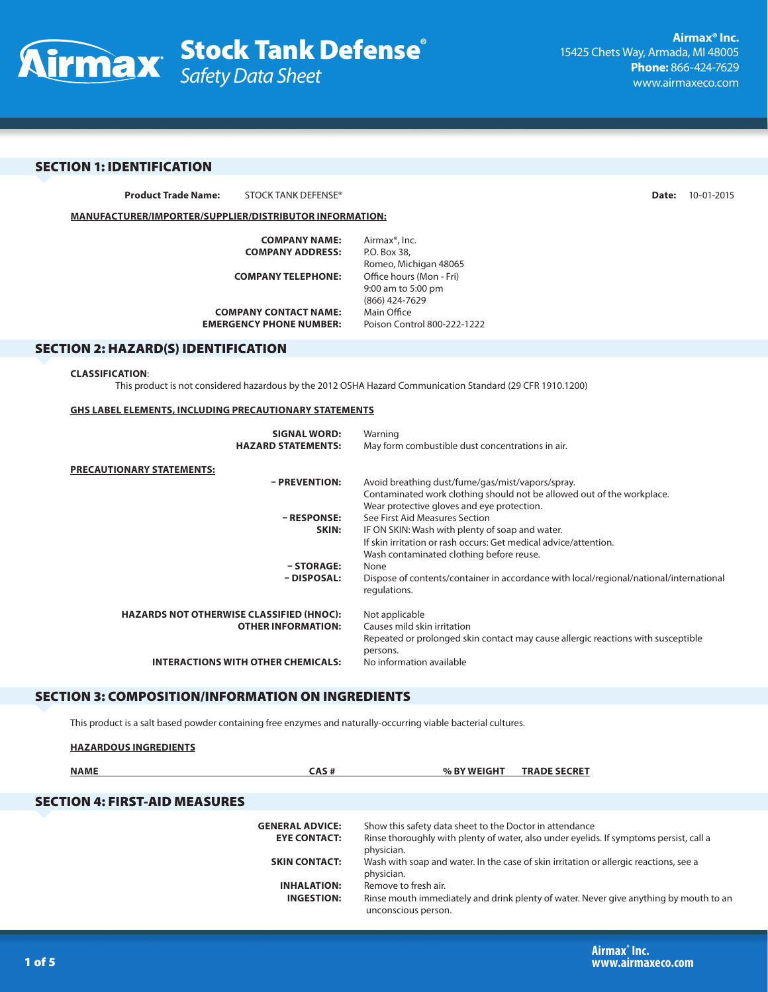

# SECTION 1: IDENTIFICATION

**Product Trade Name:** STOCK TANK DEFENSE® **Date:** 10-01-2015

**MANUFACTURER/IMPORTER/SUPPLIER/DISTRIBUTOR INFORMATION:**

| <b>COMPANY NAME:</b>           | Airmax <sup>®</sup> , Inc.  |
|--------------------------------|-----------------------------|
| <b>COMPANY ADDRESS:</b>        | P.O. Box 38.                |
|                                | Romeo, Michigan 48065       |
| <b>COMPANY TELEPHONE:</b>      | Office hours (Mon - Fri)    |
|                                | 9:00 am to 5:00 pm          |
|                                | (866) 424-7629              |
| <b>COMPANY CONTACT NAME:</b>   | Main Office                 |
| <b>EMERGENCY PHONE NUMBER:</b> | Poison Control 800-222-1222 |
|                                |                             |

## SECTION 2: HAZARD(S) IDENTIFICATION

#### **CLASSIFICATION**:

**HAZARDOUS INGREDIENTS**

This product is not considered hazardous by the 2012 OSHA Hazard Communication Standard (29 CFR 1910.1200)

### **GHS LABEL ELEMENTS, INCLUDING PRECAUTIONARY STATEMENTS**

| <b>SIGNAL WORD:</b>                             | Warning                                                                                                |
|-------------------------------------------------|--------------------------------------------------------------------------------------------------------|
| <b>HAZARD STATEMENTS:</b>                       | May form combustible dust concentrations in air.                                                       |
| <b>PRECAUTIONARY STATEMENTS:</b>                |                                                                                                        |
| - PREVENTION:                                   | Avoid breathing dust/fume/gas/mist/vapors/spray.                                                       |
|                                                 | Contaminated work clothing should not be allowed out of the workplace.                                 |
|                                                 | Wear protective gloves and eye protection.                                                             |
| - RESPONSE:                                     | See First Aid Measures Section                                                                         |
| SKIN:                                           | IF ON SKIN: Wash with plenty of soap and water.                                                        |
|                                                 | If skin irritation or rash occurs: Get medical advice/attention.                                       |
|                                                 | Wash contaminated clothing before reuse.                                                               |
| $- STORAGE:$                                    | None                                                                                                   |
| - DISPOSAL:                                     | Dispose of contents/container in accordance with local/regional/national/international<br>regulations. |
| <b>HAZARDS NOT OTHERWISE CLASSIFIED (HNOC):</b> | Not applicable                                                                                         |
| <b>OTHER INFORMATION:</b>                       | Causes mild skin irritation                                                                            |
|                                                 | Repeated or prolonged skin contact may cause allergic reactions with susceptible                       |
|                                                 | persons.                                                                                               |
| <b>INTERACTIONS WITH OTHER CHEMICALS:</b>       | No information available                                                                               |
|                                                 |                                                                                                        |

# SECTION 3: COMPOSITION/INFORMATION ON INGREDIENTS

This product is a salt based powder containing free enzymes and naturally-occurring viable bacterial cultures.

| <b>NAME</b>                          | CAS#                                          | % BY WEIGHT<br><b>TRADE SECRET</b>                                                                                                                              |
|--------------------------------------|-----------------------------------------------|-----------------------------------------------------------------------------------------------------------------------------------------------------------------|
| <b>SECTION 4: FIRST-AID MEASURES</b> |                                               |                                                                                                                                                                 |
|                                      | <b>GENERAL ADVICE:</b><br><b>EYE CONTACT:</b> | Show this safety data sheet to the Doctor in attendance<br>Rinse thoroughly with plenty of water, also under eyelids. If symptoms persist, call a<br>physician. |
|                                      | <b>SKIN CONTACT:</b>                          | Wash with soap and water. In the case of skin irritation or allergic reactions, see a<br>physician.                                                             |
|                                      | <b>INHALATION:</b><br><b>INGESTION:</b>       | Remove to fresh air.<br>Rinse mouth immediately and drink plenty of water. Never give anything by mouth to an<br>unconscious person.                            |
|                                      |                                               |                                                                                                                                                                 |

**Airmax® Inc.** 1 of 5 **www.airmaxeco.com**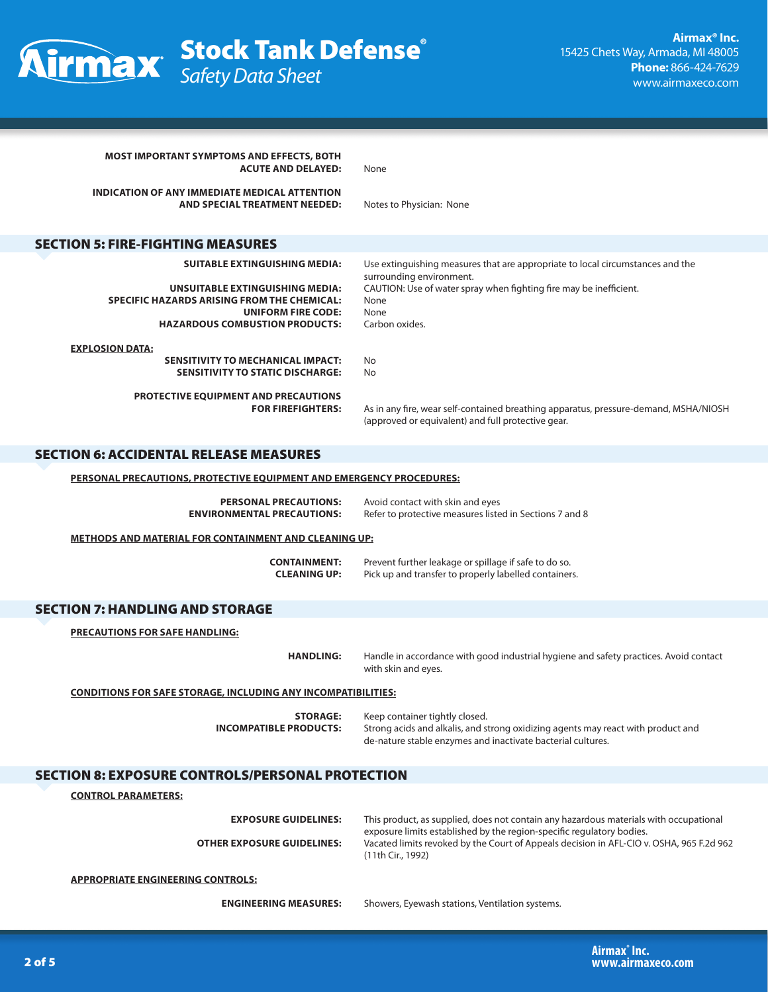

| <b>MOST IMPORTANT SYMPTOMS AND EFFECTS, BOTH</b><br><b>ACUTE AND DELAYED:</b>                                                                               | None                                                                                                                                                                                   |  |
|-------------------------------------------------------------------------------------------------------------------------------------------------------------|----------------------------------------------------------------------------------------------------------------------------------------------------------------------------------------|--|
| <b>INDICATION OF ANY IMMEDIATE MEDICAL ATTENTION</b><br>AND SPECIAL TREATMENT NEEDED:                                                                       | Notes to Physician: None                                                                                                                                                               |  |
| <b>SECTION 5: FIRE-FIGHTING MEASURES</b>                                                                                                                    |                                                                                                                                                                                        |  |
| <b>SUITABLE EXTINGUISHING MEDIA:</b>                                                                                                                        | Use extinguishing measures that are appropriate to local circumstances and the                                                                                                         |  |
| UNSUITABLE EXTINGUISHING MEDIA:<br><b>SPECIFIC HAZARDS ARISING FROM THE CHEMICAL:</b><br><b>UNIFORM FIRE CODE:</b><br><b>HAZARDOUS COMBUSTION PRODUCTS:</b> | surrounding environment.<br>CAUTION: Use of water spray when fighting fire may be inefficient.<br>None<br>None<br>Carbon oxides.                                                       |  |
| <b>EXPLOSION DATA:</b>                                                                                                                                      |                                                                                                                                                                                        |  |
| SENSITIVITY TO MECHANICAL IMPACT:<br><b>SENSITIVITY TO STATIC DISCHARGE:</b>                                                                                | No<br>No                                                                                                                                                                               |  |
| <b>PROTECTIVE EQUIPMENT AND PRECAUTIONS</b><br><b>FOR FIREFIGHTERS:</b>                                                                                     | As in any fire, wear self-contained breathing apparatus, pressure-demand, MSHA/NIOSH<br>(approved or equivalent) and full protective gear.                                             |  |
| <b>SECTION 6: ACCIDENTAL RELEASE MEASURES</b>                                                                                                               |                                                                                                                                                                                        |  |
| PERSONAL PRECAUTIONS, PROTECTIVE EQUIPMENT AND EMERGENCY PROCEDURES:                                                                                        |                                                                                                                                                                                        |  |
| <b>PERSONAL PRECAUTIONS:</b><br><b>ENVIRONMENTAL PRECAUTIONS:</b>                                                                                           | Avoid contact with skin and eyes<br>Refer to protective measures listed in Sections 7 and 8                                                                                            |  |
| <b>METHODS AND MATERIAL FOR CONTAINMENT AND CLEANING UP:</b>                                                                                                |                                                                                                                                                                                        |  |
| <b>CONTAINMENT:</b><br><b>CLEANING UP:</b>                                                                                                                  | Prevent further leakage or spillage if safe to do so.<br>Pick up and transfer to properly labelled containers.                                                                         |  |
| <b>SECTION 7: HANDLING AND STORAGE</b>                                                                                                                      |                                                                                                                                                                                        |  |
| <b>PRECAUTIONS FOR SAFE HANDLING:</b>                                                                                                                       |                                                                                                                                                                                        |  |
| <b>HANDLING:</b>                                                                                                                                            | Handle in accordance with good industrial hygiene and safety practices. Avoid contact<br>with skin and eyes.                                                                           |  |
|                                                                                                                                                             | <b>CONDITIONS FOR SAFE STORAGE, INCLUDING ANY INCOMPATIBILITIES:</b>                                                                                                                   |  |
| <b>STORAGE:</b><br><b>INCOMPATIBLE PRODUCTS:</b>                                                                                                            | Keep container tightly closed.<br>Strong acids and alkalis, and strong oxidizing agents may react with product and<br>de-nature stable enzymes and inactivate bacterial cultures.      |  |
| <b>SECTION 8: EXPOSURE CONTROLS/PERSONAL PROTECTION</b>                                                                                                     |                                                                                                                                                                                        |  |
| <b>CONTROL PARAMETERS:</b>                                                                                                                                  |                                                                                                                                                                                        |  |
| <b>EXPOSURE GUIDELINES:</b>                                                                                                                                 | This product, as supplied, does not contain any hazardous materials with occupational                                                                                                  |  |
| <b>OTHER EXPOSURE GUIDELINES:</b>                                                                                                                           | exposure limits established by the region-specific regulatory bodies.<br>Vacated limits revoked by the Court of Appeals decision in AFL-CIO v. OSHA, 965 F.2d 962<br>(11th Cir., 1992) |  |
| <b>APPROPRIATE ENGINEERING CONTROLS:</b>                                                                                                                    |                                                                                                                                                                                        |  |
| <b>ENGINEERING MEASURES:</b>                                                                                                                                | Showers, Eyewash stations, Ventilation systems.                                                                                                                                        |  |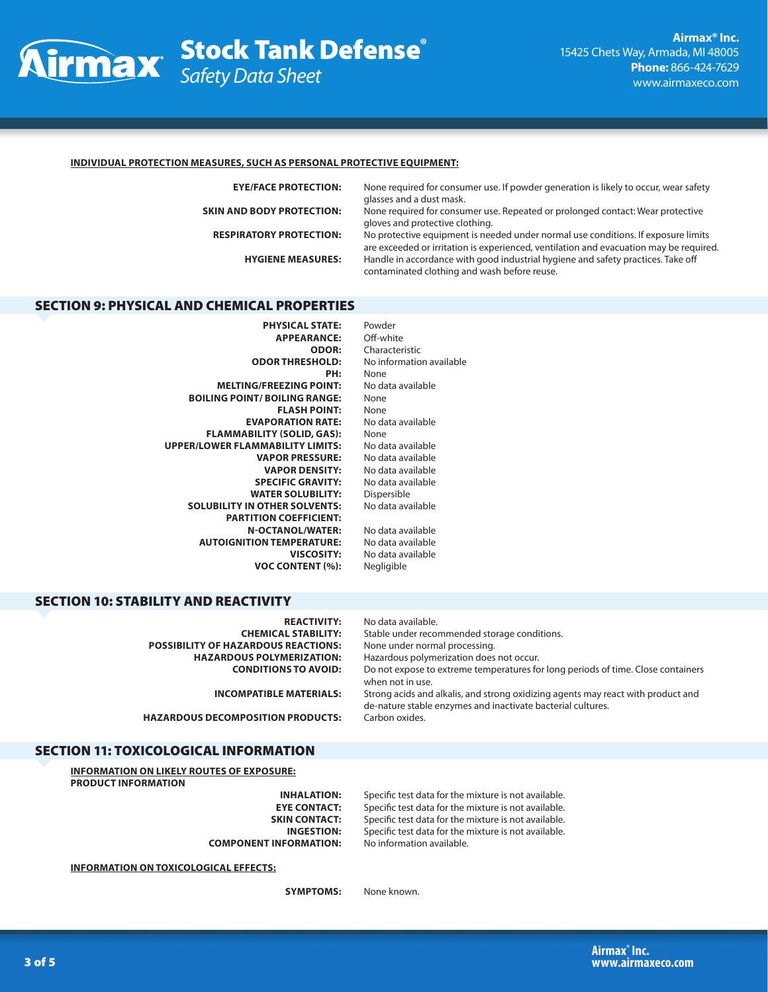

### **INDIVIDUAL PROTECTION MEASURES, SUCH AS PERSONAL PROTECTIVE EQUIPMENT:**

**EYE/FACE PROTECTION:** None required for consumer use. If powder generation is likely to occur, wear safety glasses and a dust mask.

**SKIN AND BODY PROTECTION:** None required for consumer use. Repeated or prolonged contact: Wear protective gloves and protective clothing.

**RESPIRATORY PROTECTION:** No protective equipment is needed under normal use conditions. If exposure limits are exceeded or irritation is experienced, ventilation and evacuation may be required. **HYGIENE MEASURES:** Handle in accordance with good industrial hygiene and safety practices. Take off contaminated clothing and wash before reuse.

## SECTION 9: PHYSICAL AND CHEMICAL PROPERTIES

**PHYSICAL STATE:** Powder **APPEARANCE: ODOR:** Characteristic<br> **ODOR THRESHOLD:** No information **PH:** None **MELTING/FREEZING POINT:** No data available **BOILING POINT/ BOILING RANGE:** None **FLASH POINT:** None **EVAPORATION RATE:** No data available **FLAMMABILITY (SOLID, GAS):** None **UPPER/LOWER FLAMMABILITY LIMITS:** No data available **VAPOR PRESSURE:** No data available **VAPOR DENSITY: SPECIFIC GRAVITY:** No data available<br>**WATER SOLUBILITY:** Dispersible **WATER SOLUBILITY: SOLUBILITY IN OTHER SOLVENTS:** No data available **PARTITION COEFFICIENT: N-OCTANOL/WATER:** No data available **AUTOIGNITION TEMPERATURE:** No data available **VOC CONTENT (%):** Negligible

**ODOR THRESHOLD:** No information available **VISCOSITY:** No data available

## SECTION 10: STABILITY AND REACTIVITY

| <b>REACTIVITY:</b><br><b>CHEMICAL STABILITY:</b><br><b>POSSIBILITY OF HAZARDOUS REACTIONS:</b><br><b>HAZARDOUS POLYMERIZATION:</b> | No data available.<br>Stable under recommended storage conditions.<br>None under normal processing.<br>Hazardous polymerization does not occur. |
|------------------------------------------------------------------------------------------------------------------------------------|-------------------------------------------------------------------------------------------------------------------------------------------------|
| <b>CONDITIONS TO AVOID:</b>                                                                                                        | Do not expose to extreme temperatures for long periods of time. Close containers<br>when not in use.                                            |
| <b>INCOMPATIBLE MATERIALS:</b>                                                                                                     | Strong acids and alkalis, and strong oxidizing agents may react with product and<br>de-nature stable enzymes and inactivate bacterial cultures. |
| <b>HAZARDOUS DECOMPOSITION PRODUCTS:</b>                                                                                           | Carbon oxides.                                                                                                                                  |

## SECTION 11: TOXICOLOGICAL INFORMATION

**INFORMATION ON LIKELY ROUTES OF EXPOSURE: PRODUCT INFORMATION**

**INHALATION:** Specific test data for the mixture is not available.<br>**EYE CONTACT:** Specific test data for the mixture is not available. Specific test data for the mixture is not available. **SKIN CONTACT:** Specific test data for the mixture is not available. **INGESTION:** Specific test data for the mixture is not available. **COMPONENT INFORMATION:** No information available.

**INFORMATION ON TOXICOLOGICAL EFFECTS:**

**SYMPTOMS:** None known.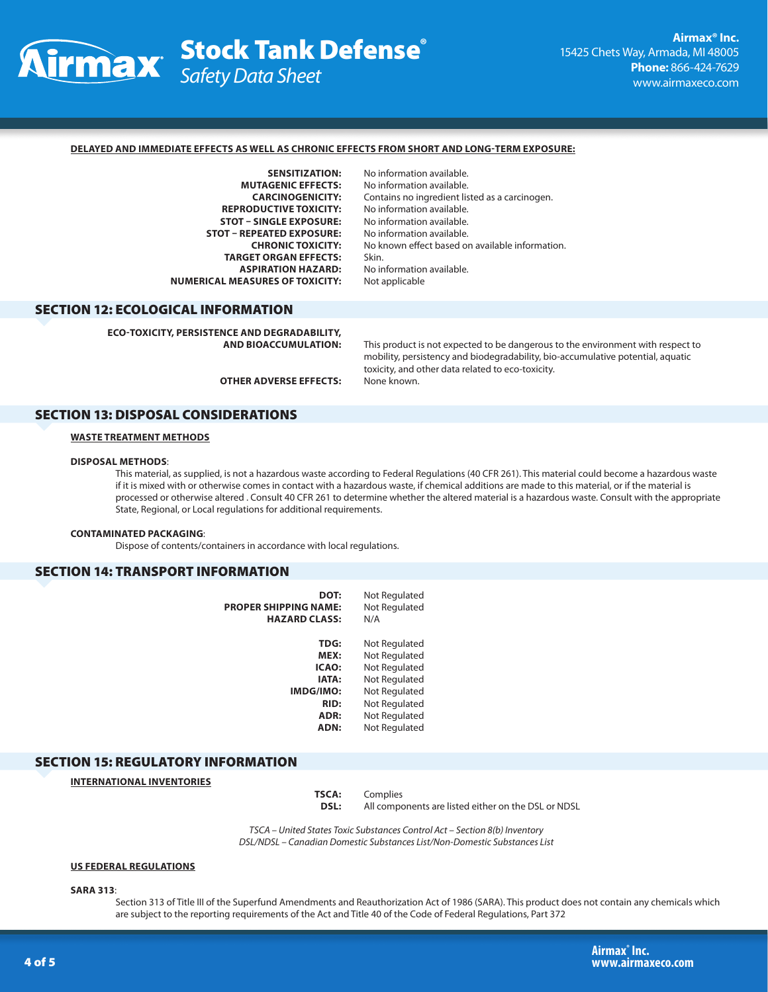

### **DELAYED AND IMMEDIATE EFFECTS AS WELL AS CHRONIC EFFECTS FROM SHORT AND LONG-TERM EXPOSURE:**

**SENSITIZATION:** No information available.<br>**MUTAGENIC EFFECTS:** No information available. **REPRODUCTIVE TOXICITY: STOT – SINGLE EXPOSURE:** No information available.<br> **No information available**<br>
No information available **STOT – REPEATED EXPOSURE: TARGET ORGAN EFFECTS:** Skin. **ASPIRATION HAZARD:** No information available.<br>**EASURES OF TOXICITY:** Not applicable **NUMERICAL MEASURES OF TOXICITY:** 

No information available. **CARCINOGENICITY:** Contains no ingredient listed as a carcinogen. **CHRONIC TOXICITY:** No known effect based on available information.

## SECTION 12: ECOLOGICAL INFORMATION

**ECO-TOXICITY, PERSISTENCE AND DEGRADABILITY,** 

This product is not expected to be dangerous to the environment with respect to mobility, persistency and biodegradability, bio-accumulative potential, aquatic toxicity, and other data related to eco-toxicity. **OTHER ADVERSE EFFECTS:** None known.

SECTION 13: DISPOSAL CONSIDERATIONS

### **WASTE TREATMENT METHODS**

## **DISPOSAL METHODS**:

This material, as supplied, is not a hazardous waste according to Federal Regulations (40 CFR 261). This material could become a hazardous waste if it is mixed with or otherwise comes in contact with a hazardous waste, if chemical additions are made to this material, or if the material is processed or otherwise altered . Consult 40 CFR 261 to determine whether the altered material is a hazardous waste. Consult with the appropriate State, Regional, or Local regulations for additional requirements.

#### **CONTAMINATED PACKAGING**:

Dispose of contents/containers in accordance with local regulations.

## SECTION 14: TRANSPORT INFORMATION

| DOT:<br>PROPER SHIPPING NAME:<br><b>HAZARD CLASS:</b> | Not Regulated<br>Not Regulated<br>N/A |
|-------------------------------------------------------|---------------------------------------|
| <b>TDG:</b>                                           | Not Regulated                         |
| MEX:                                                  | Not Regulated                         |
| <b>ICAO:</b>                                          | Not Regulated                         |
| <b>IATA:</b>                                          | Not Regulated                         |
| IMDG/IMO:                                             | Not Regulated                         |
| RID:                                                  | Not Regulated                         |
| ADR:                                                  | Not Regulated                         |
| ADN:                                                  | Not Regulated                         |
|                                                       |                                       |

### SECTION 15: REGULATORY INFORMATION

**INTERNATIONAL INVENTORIES**

**TSCA:** Complies **DSL:** All components are listed either on the DSL or NDSL

*TSCA – United States Toxic Substances Control Act – Section 8(b) Inventory DSL/NDSL – Canadian Domestic Substances List/Non-Domestic Substances List*

#### **US FEDERAL REGULATIONS**

**SARA 313**:

Section 313 of Title III of the Superfund Amendments and Reauthorization Act of 1986 (SARA). This product does not contain any chemicals which are subject to the reporting requirements of the Act and Title 40 of the Code of Federal Regulations, Part 372

**Airmax® Inc.** 4 of 5 **www.airmaxeco.com**